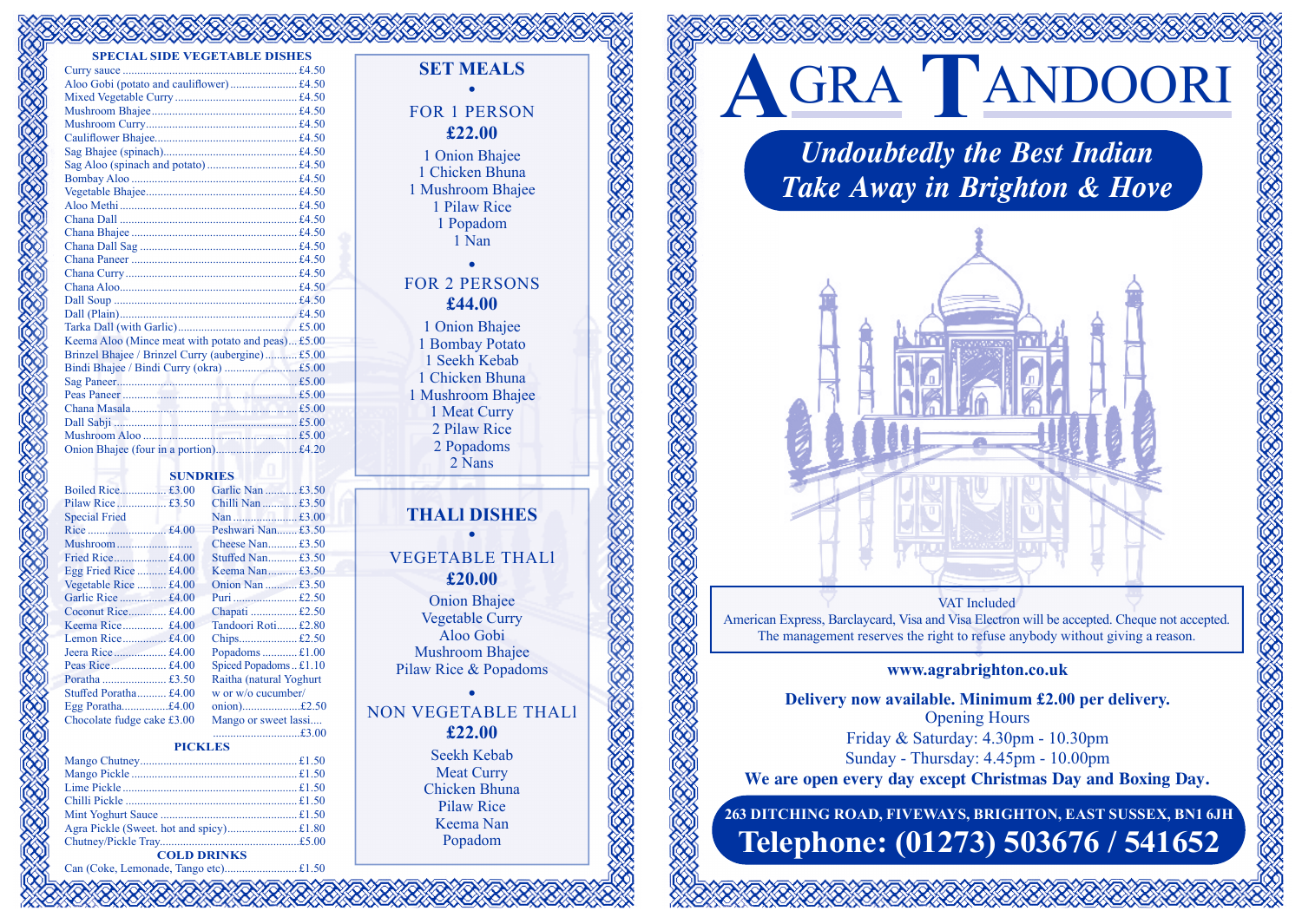#### **SPECIAL SIDE VEGETABLE DISHES**

| CIAL SIDE YEQETADLE DISTIES                        |  |
|----------------------------------------------------|--|
|                                                    |  |
|                                                    |  |
|                                                    |  |
|                                                    |  |
|                                                    |  |
|                                                    |  |
|                                                    |  |
|                                                    |  |
|                                                    |  |
|                                                    |  |
|                                                    |  |
|                                                    |  |
|                                                    |  |
|                                                    |  |
|                                                    |  |
|                                                    |  |
|                                                    |  |
|                                                    |  |
|                                                    |  |
|                                                    |  |
| Keema Aloo (Mince meat with potato and peas) £5.00 |  |
| Brinzel Bhajee / Brinzel Curry (aubergine) £5.00   |  |
|                                                    |  |
|                                                    |  |
|                                                    |  |
|                                                    |  |
|                                                    |  |
|                                                    |  |
|                                                    |  |
|                                                    |  |

# **SUNDRIES**

|                            | Garlie Nan  £3.50        |  |
|----------------------------|--------------------------|--|
| Pilaw Rice £3.50           | Chilli Nan  £3.50        |  |
| <b>Special Fried</b>       |                          |  |
|                            | Peshwari Nan£3.50        |  |
| Mushroom                   | Cheese Nan£3.50          |  |
| Fried Rice £4.00           | Stuffed Nan £3.50        |  |
| Egg Fried Rice  £4.00      | Keema Nan£3.50           |  |
| Vegetable Rice  £4.00      | Onion Nan  £3.50         |  |
| Garlic Rice  £4.00         |                          |  |
| Coconut Rice £4.00         | Chapati  £2.50           |  |
|                            | Tandoori Roti £2.80      |  |
| Lemon Rice £4.00           | Chips£2.50               |  |
| Jeera Rice £4.00           | Popadoms $£1.00$         |  |
| Peas Rice £4.00            | Spiced Popadoms£1.10     |  |
|                            | Raitha (natural Yoghurt) |  |
| Stuffed Poratha £4.00      | w or w/o cucumber/       |  |
| Egg Poratha£4.00           | onion)£2.50              |  |
| Chocolate fudge cake £3.00 | Mango or sweet lassi     |  |

# $. \pounds 1.00$  $Ioms  $.11.10$$ ral Yoghurt sumber/  $...£2.50$ chocolate fundamente *ceet* lassi...

..............................£3.00

|  | <b>PICKLES</b> |  |
|--|----------------|--|
|  |                |  |
|  |                |  |

| <b>COLD DRINKS</b> |  |
|--------------------|--|

Can (Coke, Lemonade, Tango etc)......................... £1.50

# **SET MEALS** •

# FOR 1 PERSON **£22.00** 1 Onion Bhajee

1 Chicken Bhuna 1 Mushroom Bhajee 1 Pilaw Rice 1 Popadom 1 Nan

# • FOR 2 PERSONS **£44.00**

1 Onion Bhajee 1 Bombay Potato 1 Seekh Kebab 1 Chicken Bhuna 1 Mushroom Bhajee 1 Meat Curry 2 Pilaw Rice 2 Popadoms 2 Nans

# **THALl DISHES** •

# VEGETABLE THALl **£20.00**

Onion Bhajee Vegetable Curry Aloo Gobi Mushroom Bhajee Pilaw Rice & Popadoms

### • NON VEGETABLE THALl **£22.00**

Seekh Kebab Meat Curry Chicken Bhuna Pilaw Rice Keema Nan Popadom

# **A**GRA **T**ANDOORI

*Undoubtedly the Best Indian Take Away in Brighton & Hove*



#### VAT Included

American Express, Barclaycard, Visa and Visa Electron will be accepted. Cheque not accepted. The management reserves the right to refuse anybody without giving a reason.

# **www.agrabrighton.co.uk**

**Delivery now available. Minimum £2.00 per delivery.** Opening Hours Friday & Saturday: 4.30pm - 10.30pm Sunday - Thursday: 4.45pm - 10.00pm **We are open every day except Christmas Day and Boxing Day.**

**263 DITCHING ROAD, FIVEWAYS, BRIGHTON, EAST SUSSEX, BN1 6JH Telephone: (01273) 503676 / 541652**

OS CONTROLLED